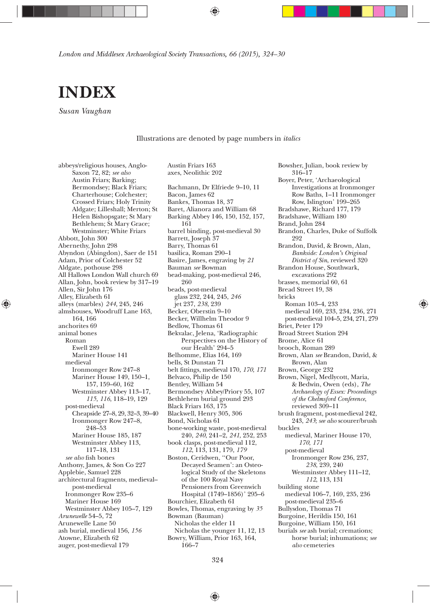*London and Middlesex Archaeological Society Transactions, 66 (2015), 324—30*



*Susan Vaughan*

Illustrations are denoted by page numbers in *italics*

Austin Friars 163

abbeys/religious houses, Anglo-Saxon 72, 82; *see also* Austin Friars; Barking; Bermondsey; Black Friars; Charterhouse; Colchester; Crossed Friars; Holy Trinity Aldgate; Lilleshall; Merton; St Helen Bishopsgate; St Mary Bethlehem; St Mary Grace; Westminster; White Friars Abbott, John 300 Abernethy, John 298 Abyndon (Abingdon), Saer de 151 Adam, Prior of Colchester 52 Aldgate, pothouse 298 All Hallows London Wall church 69 Allan, John, book review by 317—19 Allen, Sir John 176 Alley, Elizabeth 61 alleys (marbles) *244*, 245, 246 almshouses, Woodruff Lane 163, 164, 166 anchorites 69 animal bones Roman Ewell 289 Mariner House 141 medieval Ironmonger Row 247—8 Mariner House 149, 150—1, 157, 159—60, 162 Westminster Abbey 113—17, *115*, *116*, 118—19, 129 post-medieval Cheapside 27—8, 29, 32—3, 39—40 Ironmonger Row 247—8, 248—53 Mariner House 185, 187 Westminster Abbey 113, 117—18, 131 *see also* þsh bones Anthony, James, & Son Co 227 Applebie, Samuel 228 architectural fragments, medieval post-medieval Ironmonger Row 235—6 Mariner House 169 Westminster Abbey 105—7, 129 *Arunewelle* 54—5, 72 Arunewelle Lane 50 ash burial, medieval 156, *156* Atowne, Elizabeth 62 auger, post-medieval 179

◈

axes, Neolithic 202 Bachmann, Dr Elfriede 9—10, 11 Bacon, James 62 Bankes, Thomas 18, 37 Baret, Alianora and William 68 Barking Abbey 146, 150, 152, 157, 161 barrel binding, post-medieval 30 Barrett, Joseph 37 Barry, Thomas 61 basilica, Roman 290—1 Basire, James, engraving by *21* Bauman *see* Bowman bead-making, post-medieval 246, 260 beads, post-medieval glass 232, 244, 245, *246* jet 237, *238*, 239 Becker, Oberstin 9—10 Becker, Willhelm Theodor 9 Bedlow, Thomas 61 Bekvalac, Jelena, 'Radiographic Perspectives on the History of our Health' 294—5 Belhomme, Elias 164, 169 bells, St Dunstan 71 belt þttings, medieval 170, *170*, *171* Belvaco, Philip de 150 Bentley, William 54 Bermondsey Abbey/Priory 55, 107 Bethlehem burial ground 293 Black Friars 163, 175 Blackwell, Henry 305, 306 Bond, Nicholas 61 bone-working waste, post-medieval 240, *240*, 241—2, *241*, 252, 253 book clasps, post-medieval 112, *112*, 113, 131, 179, *179* Boston, Ceridwen, ''Our Poor, Decayed Seamen': an Osteological Study of the Skeletons of the 100 Royal Navy Pensioners from Greenwich Hospital (1749—1856)' 295—6 Bourchier, Elizabeth 61 Bowles, Thomas, engraving by *35* Bowman (Bauman) Nicholas the elder 11 Nicholas the younger 11, 12, 13 Bowry, William, Prior 163, 164, 166—7

Bowsher, Julian, book review by 316—17 Boyer, Peter, 'Archaeological Investigations at Ironmonger Row Baths, 1—11 Ironmonger Row, Islington' 199—265 Bradshawe, Richard 177, 179 Bradshawe, William 180 Brand, John 284 Brandon, Charles, Duke of Suffolk 999 Brandon, David, & Brown, Alan, *Bankside: London's Original District of Sin*, reviewed 320 Brandon House, Southwark, excavations 292 brasses, memorial 60, 61 Bread Street 19, 38 bricks Roman 103—4, 233 medieval 169, 233, 234, 236, 271 post-medieval 104—5, 234, 271, 279 Briet, Peter 179 Broad Street Station 294 Brome, Alice 61 brooch, Roman 289 Brown, Alan *see* Brandon, David, & Brown, Alan Brown, George 232 Brown, Nigel, Medlycott, Maria, & Bedwin, Owen (eds), *The Archaeology of Essex: Proceedings of the Chelmsford Conference*, reviewed 309—11 brush fragment, post-medieval 242, 243, *243*; *see also* scourer/brush buckles medieval, Mariner House 170, *170*, *171* post-medieval Ironmonger Row 236, 237, *238*, 239, 240 Westminster Abbey 111—12, *112*, 113, 131 building stone medieval 106—7, 169, 235, 236 post-medieval 235—6 Bullysdon, Thomas 71 Burgoine, Herildis 150, 161 Burgoine, William 150, 161 burials *see* ash burial; cremations; horse burial; inhumations; *see also* cemeteries

⊕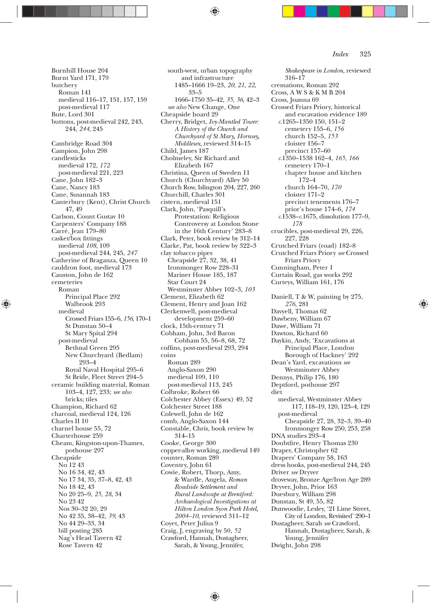Burnhill House 204 Burnt Yard 171, 179 butchery Roman 141 medieval 116—17, 151, 157, 159 post-medieval 117 Bute, Lord 301 buttons, post-medieval 242, 243, 244, *244*, 245 Cambridge Road 304 Campion, John 298 candlesticks medieval 172, *172* post-medieval 221, 223 Cane, John 182—3 Cane, Nancy 183 Cane, Susannah 183 Canterbury (Kent), Christ Church 47, 49 Carlson, Count Gustav 10 Carpenters' Company 188 Carré, Jean 179—80 casket/box fittings medieval *108*, 109 post-medieval 244, 245, *247* Catherine of Braganza, Queen 10 cauldron foot, medieval 173 Causton, John de 162 cemeteries Roman Principal Place 292 Walbrook 293 medieval Crossed Friars 155—6, *156*, 170—1 St Dunstan 50—4 St Mary Spital 294 post-medieval Bethnal Green 295 New Churchyard (Bedlam) 293—4 Royal Naval Hospital 295—6 St Bride, Fleet Street 294—5 ceramic building material, Roman 103—4, 127, 233; *see also* bricks; tiles Champion, Richard 62 charcoal, medieval 124, 126 Charles II 10 charnel house 55, 72 Charterhouse 259 Cheam, Kingston-upon-Thames, pothouse 297 Cheapside No 12 43 No 16 34, 42, 43 No 17 34, 35, 37—8, 42, 43 No 18 42, 43 No 20 25—9, *25*, *28*, 34 No 23 42 Nos 30—32 20, 29 No 42 35, 38—42, *39*, 43 No 44 29—33, 34 bill posting 285 Nag's Head Tavern 42 Rose Tavern 42

◈

south-west, urban topography and infrastructure 1485—1666 19—23, *20*, *21*, *22*, 33—5 1666—1750 35—42, *35*, *36*, 42—3 *see also* New Change, One Cheapside hoard 29 Cherry, Bridget, *Ivy-Mantled Tower: A History of the Church and Churchyard of St Mary, Hornsey, Middlesex*, reviewed 314—15 Child, James 187 Cholmeley, Sir Richard and Elizabeth 167 Christina, Queen of Sweden 11 Church (Churchyard) Alley 50 Church Row, Islington 204, 227, 260 Churchill, Charles 301 cistern, medieval 151 Clark, John, 'Pasquill's Protestation: Religious Controversy at London Stone in the 16th Century' 283—8 Clark, Peter, book review by 312—14 Clarke, Pat, book review by 322—3 clay tobacco pipes Cheapside 27, 32, 38, 41 Ironmonger Row 228—31 Mariner House 185, 187 Star Court 24 Westminster Abbey 102—3, *103* Clement, Elizabeth 62 Clement, Henry and Joan 162 Clerkenwell, post-medieval development 259—60 clock, 15th-century 71 Cobham, John, 3rd Baron Cobham 55, 56—8, 68, 72 coffins, post-medieval 293, 294 coins Roman 289 Anglo-Saxon 290 medieval 109, 110 post-medieval 113, 245 Colbroke, Robert 66 Colchester Abbey (Essex) 49, 52 Colchester Street 188 Colewell, John de 162 comb, Anglo-Saxon 144 Constable, Chris, book review by 314—15 Cooke, George 300 copper-alloy working, medieval 149 counter, Roman 289 Coventry, John 61 Cowie, Robert, Thorp, Amy, & Wardle, Angela, *Roman Roadside Settlement and Rural Landscape at Brentford: Archaeological Investigations at Hilton London Syon Park Hotel, 2004—10*, reviewed 311—12 Coyet, Peter Julius 9 Craig, J, engraving by 50, *52* Crawford, Hannah, Dustagheer, Sarah, & Young, Jennifer,

*Shakespeare in London*, reviewed 316—17 cremations, Roman 292 Cross, A W S & K M B 204 Cross, Joanna 69 Crossed Friars Priory, historical and excavation evidence 189 *c*.1265—1350 150, 151—2 cemetery 155—6, *156* church 152—5, *153* cloister 156—7 precinct 157—60 *c*.1350—1538 162—4, *165*, *166* cemetery 170—1 chapter house and kitchen 172—4 church 164—70, *170* cloister 171—2 precinct tenements 176—7 prior's house 174—6, *174 c*.1538—*c*.1675, dissolution 177—9, *178* crucibles, post-medieval 29, 226, 227, 228 Crutched Friars (road) 182—8 Crutched Friars Priory *see* Crossed Friars Priory Cunningham, Peter 1 Curtain Road, gas works 292 Curteys, William 161, 176 Daniell, T & W, painting by 275, *276*, 281 Davyell, Thomas 62 Dawbeny, William 67 Dawe, William 71 Dawton, Richard 60 Daykin, Andy, 'Excavations at Principal Place, London Borough of Hackney' 292 Dean's Yard, excavations *see* Westminster Abbey Dennys, Philip 176, 180 Deptford, pothouse 297 diet medieval, Westminster Abbey 117, 118—19, 120, 123—4, 129 post-medieval Cheapside 27, 28, 32—3, 39—40 Ironmonger Row 250, 253, 258 DNA studies 293—4 Doubtfire, Henry Thomas 230 Draper, Christopher 62 Drapers' Company 58, 163 dress hooks, post-medieval 244, 245 Driver *see* Dryver droveway, Bronze Age/Iron Age 289 Dryver, John, Prior 163 Duesbury, William 298 Dunstan, St 49, 55, 82 Dunwoodie, Lesley, '21 Lime Street, City of London, Revisited' 290—1 Dustagheer, Sarah *see* Crawford, Hannah, Dustagheer, Sarah, & Young, Jennifer Dwight, John 298

⊕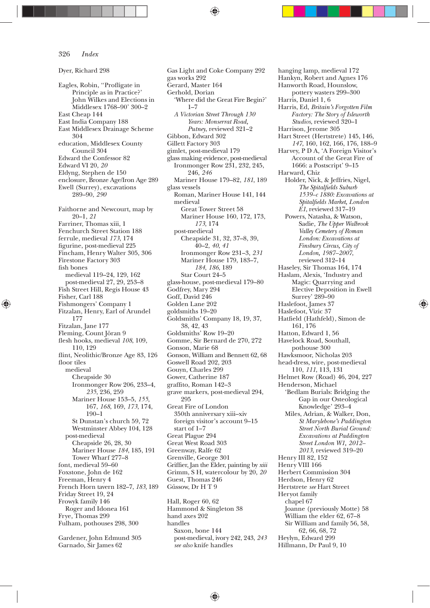Dyer, Richard 298 Eagles, Robin, ''Proÿigate in Principle as in Practice?' John Wilkes and Elections in Middlesex 1768—90' 300—2 East Cheap 144 East India Company 188 East Middlesex Drainage Scheme 304 education, Middlesex County Council 304 Edward the Confessor 82 Edward VI 20, *20* Eldyng, Stephen de 150 enclosure, Bronze Age/Iron Age 289 Ewell (Surrey), excavations 289—90, *290* Faithorne and Newcourt, map by 20—1, *21* Farriner, Thomas xiii, 1 Fenchurch Street Station 188 ferrule, medieval *173*, 174 þgurine, post-medieval 225 Fincham, Henry Walter 305, 306 Firestone Factory 303 fish bones medieval 119—24, 129, 162 post-medieval 27, 29, 253—8 Fish Street Hill, Regis House 43 Fisher, Carl 188 Fishmongers' Company 1 Fitzalan, Henry, Earl of Arundel 177 Fitzalan, Jane 177 Fleming, Count Jöran 9 flesh hooks, medieval  $108$ , 109, 110, 129 flint, Neolithic/Bronze Age 83, 126 floor tiles medieval Cheapside 30 Ironmonger Row 206, 233—4, *235*, 236, 259 Mariner House 153—5, *155*, 167, *168*, 169, *173*, 174, 190—1 St Dunstan's church 59, 72 Westminster Abbey 104, 128 post-medieval Cheapside 26, 28, 30 Mariner House *184*, 185, 191 Tower Wharf 277—8 font, medieval 59—60 Foxstone, John de 162 Freeman, Henry 4 French Horn tavern 182—7, *183*, 189 Friday Street 19, 24 Frowyk family 146 Roger and Idonea 161 Frye, Thomas 299 Fulham, pothouses 298, 300 Gardener, John Edmund 305

◈

Garnado, Sir James 62

Gas Light and Coke Company 292 gas works 292 Gerard, Master 164 Gerhold, Dorian 'Where did the Great Fire Begin?'  $1 - 7$ *A Victorian Street Through 130 Years: Monserrat Road, Putney*, reviewed 321—2 Gibbon, Edward 302 Gillett Factory 303 gimlet, post-medieval 179 glass making evidence, post-medieval Ironmonger Row 231, 232, 245, 246, *246* Mariner House 179—82, *181*, 189 glass vessels Roman, Mariner House 141, 144 medieval Great Tower Street 58 Mariner House 160, 172, 173, *173*, 174 post-medieval Cheapside 31, 32, 37—8, 39, 40—2, *40*, *41* Ironmonger Row 231—3, *231* Mariner House 179, 183—7, *184*, *186*, 189 Star Court 24—5 glass-house, post-medieval 179—80 Godfrey, Mary 294 Goff, David 246 Golden Lane 202 goldsmiths 19—20 Goldsmiths' Company 18, 19, 37, 38, 42, 43 Goldsmiths' Row 19—20 Gomme, Sir Bernard de 270, 272 Gonson, Marie 68 Gonson, William and Bennett 62, 68 Goswell Road 202, 203 Gouyn, Charles 299 Gower, Catherine 187 graffito, Roman 142-3 grave markers, post-medieval 294, 295 Great Fire of London 350th anniversary xiii—xiv foreign visitor's account 9—15 start of 1—7 Great Plague 294 Great West Road 303 Greenway, Ralfe 62 Grenville, George 301 Griffier, Jan the Elder, painting by *xiii* Grimm, S H, watercolour by 20, *20* Guest, Thomas 246 Güssow, Dr H T 9 Hall, Roger 60, 62 Hammond & Singleton 38

hand axes 202 handles Saxon, bone 144 post-medieval, ivory 242, 243, *243 see also* knife handles

hanging lamp, medieval 172 Hankyn, Robert and Agnes 176 Hanworth Road, Hounslow, pottery wasters 299—300 Harris, Daniel 1, 6 Harris, Ed, *Britain's Forgotten Film Factory: The Story of Isleworth Studios*, reviewed 320—1 Harrison, Jerome 305 Hart Street (Hertstrete) 145, 146, *147*, 160, 162, 166, 176, 188—9 Harvey, P D A, 'A Foreign Visitor's Account of the Great Fire of 1666: a Postscript' 9—15 Harward, Chiz Holder, Nick, & Jeffries, Nigel,  $The \textit{Sptalfields}$  Suburb *1539—c 1880: Excavations at Spitalþelds Market, London E1*, reviewed 317—19 Powers, Natasha, & Watson,  $S$ adie, *The Upper Walbrook Valley Cemetery of Roman London: Excavations at*   $Finsbury Circus, City of$ *London, 1987—2007*, reviewed 312—14 Haseley, Sir Thomas 164, 174 Haslam, Alexis, 'Industry and Magic: Quarrying and Elective Deposition in Ewell Surrey' 289—90 Haslefoot, James 37 Haslefoot, Vizic 37 Hatfield (Hathfeld), Simon de 161, 176 Hatton, Edward 1, 56 Havelock Road, Southall, pothouse 300 Hawksmoor, Nicholas 203 head-dress, wire, post-medieval 110, *111*, 113, 131 Helmet Row (Road) 46, 204, 227 Henderson, Michael 'Bedlam Burials: Bridging the Gap in our Osteological Knowledge' 293—4 Miles, Adrian, & Walker, Don,  $St$ *Marylebone's Paddington Street North Burial Ground: Excavations at Paddington Street London W1, 2012— 2013*, reviewed 319—20 Henry III 82, 152 Henry VIII 166 Herbert Commission 304 Herdson, Henry 62 Hertstrete *see* Hart Street Heryot family chapel 67 Joanne (previously Motte) 58 William the elder 62, 67—8 Sir William and family 56, 58, 62, 66, 68, 72 Heylyn, Edward 299 Hillmann, Dr Paul 9, 10

⊕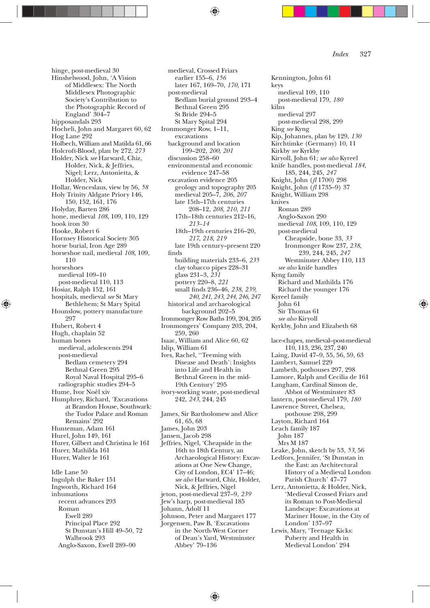hinge, post-medieval 30 Hinshelwood, John, 'A Vision of Middlesex: The North Middlesex Photographic Society's Contribution to the Photographic Record of England' 304—7 hipposandals 293 Hocheli, John and Margaret 60, 62 Hog Lane 292 Holbech, William and Matilda 61, 66 Holcroft-Blood, plan by 272, *273* Holder, Nick *see* Harward, Chiz, Holder, Nick, & Jeffries, Nigel; Lerz, Antonietta, & Holder, Nick Hollar, Wenceslaus, view by 56, *58* Holy Trinity Aldgate Priory 146, 150, 152, 161, 176 Holyday, Barten 286 hone, medieval *108*, 109, 110, 129 hook iron 30 Hooke, Robert 6 Hornsey Historical Society 305 horse burial, Iron Age 289 horseshoe nail, medieval *108*, 109, 110 horseshoes medieval 109—10 post-medieval 110, 113 Hosiar, Ralph 152, 161 hospitals, medieval *see* St Mary Bethlehem; St Mary Spital Hounslow, pottery manufacture 997 Hubert, Robert 4 Hugh, chaplain 52 human bones medieval, adolescents 294 post-medieval Bedlam cemetery 294 Bethnal Green 295 Royal Naval Hospital 295—6 radiographic studies 294—5 Hume, Ivor Noël xiv Humphrey, Richard, 'Excavations at Brandon House, Southwark: the Tudor Palace and Roman Remains' 292 Hunteman, Adam 161 Hurel, John 149, 161 Hurer, Gilbert and Christina le 161 Hurer, Mathilda 161 Hurer, Walter le 161 Idle Lane 50 Ingulph the Baker 151 Ingworth, Richard 164 inhumations recent advances 293 Roman Ewell 289

◈

Principal Place 292 St Dunstan's Hill 49—50, 72

Walbrook 293 Anglo-Saxon, Ewell 289—90

earlier 155—6, *156* later 167, 169—70, *170*, 171 post-medieval Bedlam burial ground 293—4 Bethnal Green 295 St Bride 294—5 St Mary Spital 294 Ironmonger Row, 1—11, excavations background and location 199—202, *200*, *201* discussion 258—60 environmental and economic evidence 247—58 excavation evidence 205 geology and topography 205 medieval 205—7, *206*, *207* late 15th—17th centuries 208—12, *208*, *210*, *211* 17th—18th centuries 212—16, *213—14* 18th—19th centuries 216—20, *217*, *218*, *219* late 19th century—present 220 finds building materials 233—6, *235* clay tobacco pipes 228—31 glass 231—3, *231* pottery 220—8, *221* small þnds 236—46, *238*, *239*, *240*, *241*, *243*, *244*, *246*, *247* historical and archaeological background 202—5 Ironmonger Row Baths 199, 204, 205 Ironmongers' Company 203, 204, 259, 260 Isaac, William and Alice 60, 62 Islip, William 61 Ives, Rachel, ''Teeming with Disease and Death': Insights into Life and Health in Bethnal Green in the mid-19th Century' 295 ivory-working waste, post-medieval 242, *243*, 244, 245 James, Sir Bartholomew and Alice 61, 65, 68 James, John 203 Jansen, Jacob 298 Jeffries, Nigel, 'Cheapside in the 16th to 18th Century, an Archaeological History: Excavations at One New Change, City of London, EC4' 17—46; *see also* Harward, Chiz, Holder, Nick, & Jeffries, Nigel jeton, post-medieval 237—9, *239* Jew's harp, post-medieval 185 Johann, Adolf 11 Johnson, Peter and Margaret 177 Jorgensen, Paw B, 'Excavations in the North-West Corner of Dean's Yard, Westminster

medieval, Crossed Friars

Kennington, John 61 keys medieval 109, 110 post-medieval 179, *180* kilns medieval 297 post-medieval 298, 299 King *see* Kyng Kip, Johannes, plan by 129, *130* Kirchtimke (Germany) 10, 11 Kirkby *see* Kyrkby Kiryoll, John 61; *see also* Kyreel knife handles, post-medieval *184*, 185, 244, 245, *247* Knight, John (*ÿ* 1700) 298 Knight, John (*ÿ* 1735—9) 37 Knight, William 298 knives Roman 289 Anglo-Saxon 290 medieval *108*, 109, 110, 129 post-medieval Cheapside, bone 33, *33* Ironmonger Row 237, *238*, 239, 244, 245, *247* Westminster Abbey 110, 113 *see also* knife handles Kyng family Richard and Mathilda 176 Richard the younger 176 Kyreel family John 61 Sir Thomas 61 *see also* Kiryoll Kyrkby, John and Elizabeth 68 lace-chapes, medieval—post-medieval 110, 113, 236, 237, 240 Laing, David 47—9, 55, 56, 59, 63 Lambert, Samuel 229 Lambeth, pothouses 297, 298 Lamore, Ralph and Cecilia de 161 Langham, Cardinal Simon de, Abbot of Westminster 83 lantern, post-medieval 179, *180* Lawrence Street, Chelsea, pothouse 298, 299 Layton, Richard 164 Leach family 187 John 187 Mrs M 187 Leake, John, sketch by 53, *53*, 56 Ledfors, Jennifer, 'St Dunstan in the East: an Architectural History of a Medieval London Parish Church' 47—77 Lerz, Antonietta, & Holder, Nick, 'Medieval Crossed Friars and its Roman to Post-Medieval Landscape: Excavations at Mariner House, in the City of London' 137—97 Lewis, Mary, 'Teenage Kicks: Puberty and Health in Medieval London' 294

⊕

♠

Abbey' 79—136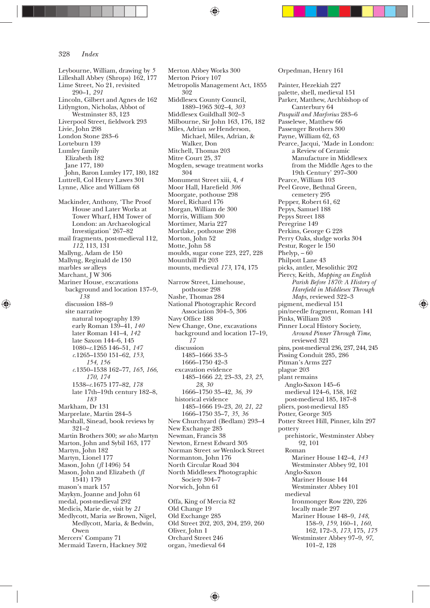Leybourne, William, drawing by *5* Lilleshall Abbey (Shrops) 162, 177 Lime Street, No 21, revisited 290—1, *291* Lincoln, Gilbert and Agnes de 162 Litlyngton, Nicholas, Abbot of Westminster 83, 123 Liverpool Street, fieldwork 293 Livie, John 298 London Stone 283—6 Lorteburn 139 Lumley family Elizabeth 182 Jane 177, 180 John, Baron Lumley 177, 180, 182 Luttrell, Col Henry Lawes 301 Lynne, Alice and William 68 Mackinder, Anthony, 'The Proof House and Later Works at Tower Wharf, HM Tower of London: an Archaeological Investigation' 267—82 mail fragments, post-medieval 112, *112*, 113, 131 Mallyng, Adam de 150 Mallyng, Reginald de 150 marbles *see* alleys Marchant, J W 306 Mariner House, excavations background and location 137—9, *138* discussion 188—9 site narrative natural topography 139 early Roman 139—41, *140* later Roman 141—4, *142* late Saxon 144—6, 145 1080—*c*.1265 146—51, *147 c*.1265—1350 151—62, *153*, *154*, *156 c*.1350—1538 162—77, *165*, *166*, *170*, *174* 1538—*c*.1675 177—82, *178* late 17th—19th century 182—8, *183* Markham, Dr 131 Marprelate, Martin 284—5 Marshall, Sinead, book reviews by 321—2 Martin Brothers 300; *see also* Martyn Marton, John and Sybil 163, 177 Martyn, John 182 Martyn, Lionel 177 Mason, John (*ÿ* 1496) 54 Mason, John and Elizabeth (*ÿ* 1541) 179 mason's mark 157 Maykyn, Joanne and John 61 medal, post-medieval 292 Medicis, Marie de, visit by *21* Medlycott, Maria *see* Brown, Nigel, Medlycott, Maria, & Bedwin, Owen Mercers' Company 71 Mermaid Tavern, Hackney 302

◈

Merton Abbey Works 300 Merton Priory 107 Metropolis Management Act, 1855 302 Middlesex County Council, 1889—1965 302—4, *303* Middlesex Guildhall 302—3 Milbourne, Sir John 163, 176, 182 Miles, Adrian *see* Henderson, Michael, Miles, Adrian, & Walker, Don Mitchell, Thomas 203 Mitre Court 25, 37 Mogden, sewage treatment works 304 Monument Street xiii, 4, *4* Moor Hall, Harefield 306 Moorgate, pothouse 298 Morel, Richard 176 Morgan, William de 300 Morris, William 300 Mortimer, Maria 227 Mortlake, pothouse 298 Morton, John 52 Motte, John 58 moulds, sugar cone 223, 227, 228 Mounthill Pit 203 mounts, medieval *173*, 174, 175 Narrow Street, Limehouse, pothouse 298 Nashe, Thomas 284 National Photographic Record Association 304—5, 306 Navy Office 188 New Change, One, excavations background and location 17—19, *17* discussion 1485—1666 33—5 1666—1750 42—3 excavation evidence 1485—1666 *22*, 23—33, *23*, *25*, *28*, *30* 1666—1750 35—42, *36*, *39* historical evidence 1485—1666 19—23, *20*, *21*, *22* 1666—1750 35—7, *35*, *36* New Churchyard (Bedlam) 293—4 New Exchange 285 Newman, Francis 38 Newton, Ernest Edward 305 Norman Street *see* Wenlock Street Normanton, John 176 North Circular Road 304 North Middlesex Photographic Society 304—7 Norwich, John 61 Offa, King of Mercia 82 Old Change 19 Old Exchange 285 Old Street 202, 203, 204, 259, 260 Oliver, John 1

Painter, Hezekiah 227 palette, shell, medieval 151 Parker, Matthew, Archbishop of Canterbury 64 *Pasquill and Marforius* 283—6 Passelewe, Matthew 66 Passenger Brothers 300 Payne, William 62, 63 Pearce, Jacqui, 'Made in London: a Review of Ceramic Manufacture in Middlesex from the Middle Ages to the 19th Century' 297—300 Pearce, William 103 Peel Grove, Bethnal Green, cemetery 295 Pepper, Robert 61, 62 Pepys, Samuel 188 Pepys Street 188 Peregrine 149 Perkins, George G 228 Perry Oaks, sludge works 304 Pestur, Roger le 150 Phelyp,  $-60$ Philpott Lane 43 picks, antler, Mesolithic 202 Piercy, Keith, *Mapping an English Parish Before 1870: A History of Hareþeld in Middlesex Through Maps*, reviewed 322—3 pigment, medieval 151 pin/needle fragment, Roman 141 Pinks, William 203 Pinner Local History Society, *Around Pinner Through Time*, reviewed 321 pins, post-medieval 236, 237, 244, 245 Pissing Conduit 285, 286 Pitman's Arms 227 plague 203 plant remains Anglo-Saxon 145—6 medieval 124—6, 158, 162 post-medieval 185, 187—8 pliers, post-medieval 185 Potter, George 305 Potter Street Hill, Pinner, kiln 297 pottery prehistoric, Westminster Abbey 92, 101 Roman Mariner House 142—4, *143* Westminster Abbey 92, 101 Anglo-Saxon Mariner House 144 Westminster Abbey 101 medieval Ironmonger Row 220, 226 locally made 297 Mariner House 148—9, *148*, 158—9, *159*, 160—1, *160*, 162, 172—3, *173*, 175, *175* Westminster Abbey 97—9, *97*, 101—2, 128

⊕

Orpedman, Henry 161

♠

Orchard Street 246 organ, ?medieval 64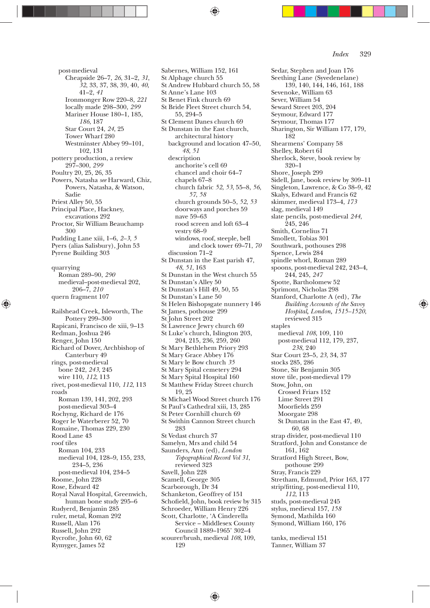post-medieval Cheapside 26—7, *26*, 31—2, *31*, *32*, 33, 37, 38, 39, 40, *40*, 41—2, *41* Ironmonger Row 220—8, *221* locally made 298—300, *299* Mariner House 180—1, 185, *186*, 187 Star Court 24, *24*, 25 Tower Wharf 280 Westminster Abbey 99—101, 102, 131 pottery production, a review 297—300, *299* Poultry 20, 25, 26, 35 Powers, Natasha *see* Harward, Chiz, Powers, Natasha, & Watson, Sadie Priest Alley 50, 55 Principal Place, Hackney, excavations 292 Proctor, Sir William Beauchamp 300 Pudding Lane xiii, 1—6, *2—3*, *5* Pyers (alias Salisbury), John 53 Pyrene Building 303 quarrying Roman 289—90, *290* medieval—post-medieval 202, 206—7, *210* quern fragment 107 Railshead Creek, Isleworth, The Pottery 299—300 Rapicani, Francisco de xiii, 9—13 Redman, Joshua 246 Renger, John 150 Richard of Dover, Archbishop of Canterbury 49 rings, post-medieval bone 242, *243*, 245 wire 110, *112*, 113 rivet, post-medieval 110, *112*, 113 roads Roman 139, 141, 202, 293 post-medieval 303—4 Rochyng, Richard de 176 Roger le Waterberer 52, 70 Romaine, Thomas 229, 230 Rood Lane 43 roof tiles Roman 104, 233 medieval 104, 128—9, 155, 233, 234—5, 236 post-medieval 104, 234—5 Roome, John 228 Rose, Edward 42 Royal Naval Hospital, Greenwich, human bone study 295—6 Rudyerd, Benjamin 285 ruler, metal, Roman 292

◈

Russell, Alan 176 Russell, John 292 Rycrofte, John 60, 62 Rymyger, James 52

Sabernes, William 152, 161 St Alphage church 55 St Andrew Hubbard church 55, 58 St Anne's Lane 103 St Benet Fink church 69 St Bride Fleet Street church 54, 55, 294—5 St Clement Danes church 69 St Dunstan in the East church, architectural history background and location 47—50, *48*, *51* description anchorite's cell 69 chancel and choir 64—7 chapels 67—8 church fabric *52*, *53*, 55—8, *56*, *57*, *58* church grounds 50—5, *52*, *53* doorways and porches 59 nave 59—63 rood screen and loft 63—4 vestry 68—9 windows, roof, steeple, bell and clock tower 69—71, *70* discussion 71—2 St Dunstan in the East parish 47, *48*, *51*, 163 St Dunstan in the West church 55 St Dunstan's Alley 50 St Dunstan's Hill 49, 50, 55 St Dunstan's Lane 50 St Helen Bishopsgate nunnery 146 St James, pothouse 299 St John Street 202 St Lawrence Jewry church 69 St Luke's church, Islington 203, 204, 215, 236, 259, 260 St Mary Bethlehem Priory 293 St Mary Grace Abbey 176 St Mary le Bow church *35* St Mary Spital cemetery 294 St Mary Spital Hospital 160 St Matthew Friday Street church 19, 25 St Michael Wood Street church 176 St Paul's Cathedral xiii, 13, 285 St Peter Cornhill church 69 St Swithin Cannon Street church 283 St Vedast church 37 Samelyn, Mrs and child 54 Saunders, Ann (ed), *London Topographical Record Vol 31*, reviewed 323 Savell, John 228 Scamell, George 305 Scarborough, Dr 34 Schanketon, Geoffrey of 151 Schofield, John, book review by 315 Schroeder, William Henry 226 Scott, Charlotte, 'A Cinderella Service — Middlesex County Council 1889—1965' 302—4 scourer/brush, medieval *108*, 109, 199

♠

Sedar, Stephen and Joan 176 Seething Lane (Syvedenelane) 139, 140, 144, 146, 161, 188 Sevenoke, William 63 Sever, William 54 Seward Street 203, 204 Seymour, Edward 177 Seymour, Thomas 177 Sharington, Sir William 177, 179, 182 Shearmens' Company 58 Shelley, Robert 61 Sherlock, Steve, book review by 320—1 Shore, Joseph 299 Sidell, Jane, book review by 309—11 Singleton, Lawrence, & Co 38—9, 42 Skalys, Edward and Francis 62 skimmer, medieval 173—4, *173* slag, medieval 149 slate pencils, post-medieval *244*, 245, 246 Smith, Cornelius 71 Smollett, Tobias 301 Southwark, pothouses 298 Spence, Lewis 284 spindle whorl, Roman 289 spoons, post-medieval 242, 243—4, 244, 245, *247* Spotte, Bartholomew 52 Sprimont, Nicholas 298 Stanford, Charlotte A (ed), *The Building Accounts of the Savoy Hospital, London, 1515—1520*, reviewed 315 staples medieval *108*, 109, 110 post-medieval 112, 179, 237, *238*, 240 Star Court 23—5, *23*, 34, 37 stocks 285, 286 Stone, Sir Benjamin 305 stove tile, post-medieval 179 Stow, John, on Crossed Friars 152 Lime Street 291 Moorfields 259 Moorgate 298 St Dunstan in the East 47, 49, 60, 68 strap divider, post-medieval 110 Stratford, John and Constance de 161, 162 Stratford High Street, Bow, pothouse 299 Stray, Francis 229 Stretham, Edmund, Prior 163, 177 strip/þtting, post-medieval 110, *112*, 113 studs, post-medieval 245 stylus, medieval 157, *158* Symond, Mathilda 160 Symond, William 160, 176

⊕

tanks, medieval 151 Tanner, William 37